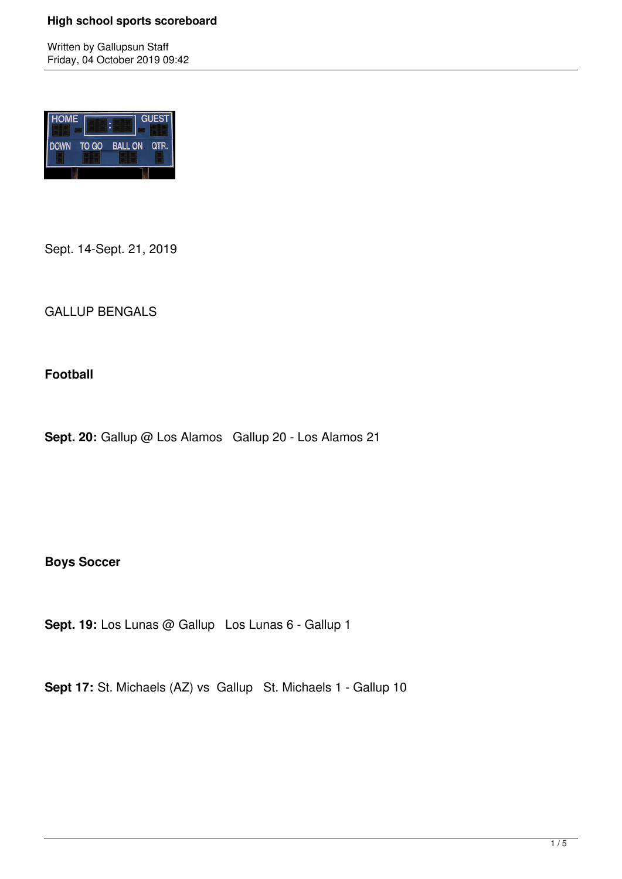Written by Gallupsun Staff Friday, 04 October 2019 09:42



Sept. 14-Sept. 21, 2019

GALLUP BENGALS

**Football**

Sept. 20: Gallup @ Los Alamos Gallup 20 - Los Alamos 21

**Boys Soccer**

**Sept. 19:** Los Lunas @ Gallup Los Lunas 6 - Gallup 1

**Sept 17:** St. Michaels (AZ) vs Gallup St. Michaels 1 - Gallup 10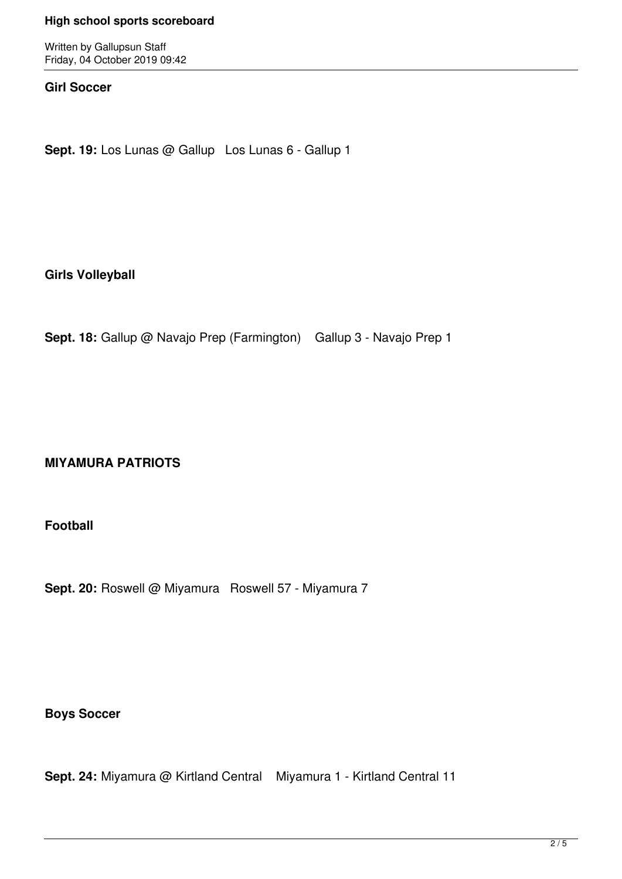Written by Gallupsun Staff Friday, 04 October 2019 09:42

### **Girl Soccer**

**Sept. 19:** Los Lunas @ Gallup Los Lunas 6 - Gallup 1

**Girls Volleyball** 

**Sept. 18:** Gallup @ Navajo Prep (Farmington) Gallup 3 - Navajo Prep 1

# **MIYAMURA PATRIOTS**

**Football**

Sept. 20: Roswell @ Miyamura Roswell 57 - Miyamura 7

**Boys Soccer**

**Sept. 24:** Miyamura @ Kirtland Central Miyamura 1 - Kirtland Central 11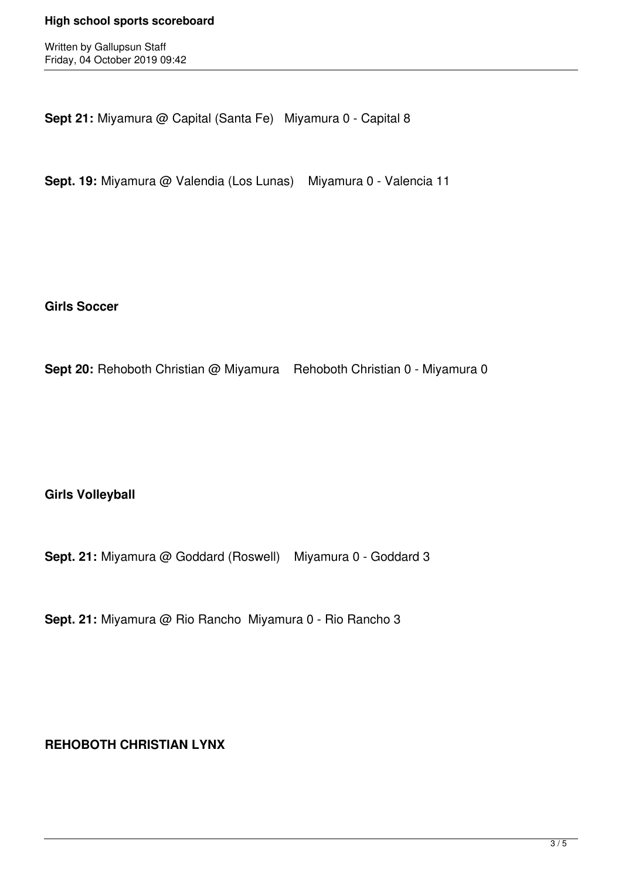Written by Gallupsun Staff Friday, 04 October 2019 09:42

**Sept 21:** Miyamura @ Capital (Santa Fe) Miyamura 0 - Capital 8

**Sept. 19:** Miyamura @ Valendia (Los Lunas) Miyamura 0 - Valencia 11

**Girls Soccer**

**Sept 20:** Rehoboth Christian @ Miyamura Rehoboth Christian 0 - Miyamura 0

**Girls Volleyball**

**Sept. 21:** Miyamura @ Goddard (Roswell) Miyamura 0 - Goddard 3

**Sept. 21:** Miyamura @ Rio Rancho Miyamura 0 - Rio Rancho 3

**REHOBOTH CHRISTIAN LYNX**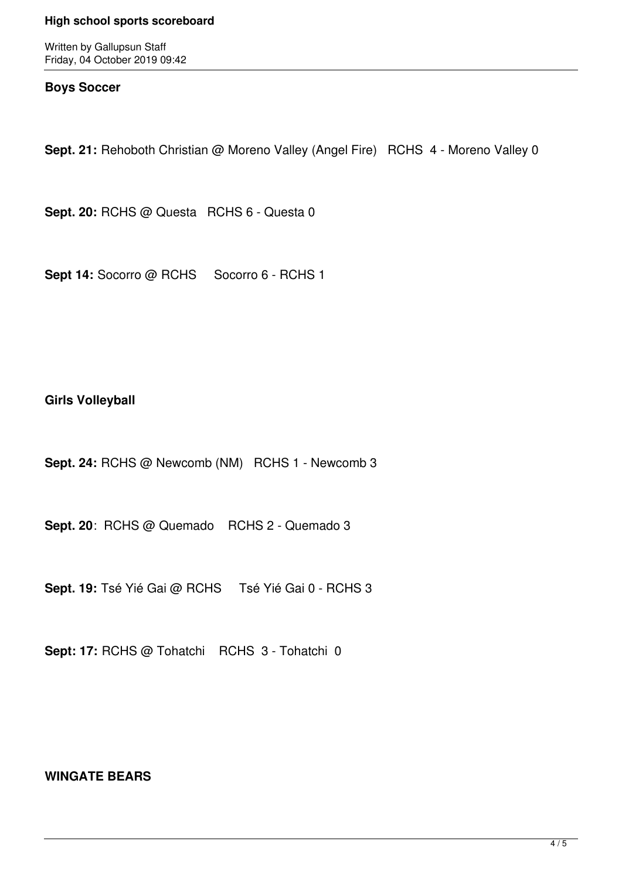Written by Gallupsun Staff Friday, 04 October 2019 09:42

### **Boys Soccer**

**Sept. 21:** Rehoboth Christian @ Moreno Valley (Angel Fire) RCHS 4 - Moreno Valley 0

**Sept. 20:** RCHS @ Questa RCHS 6 - Questa 0

Sept 14: Socorro @ RCHS Socorro 6 - RCHS 1

## **Girls Volleyball**

**Sept. 24:** RCHS @ Newcomb (NM) RCHS 1 - Newcomb 3

**Sept. 20**: RCHS @ Quemado RCHS 2 - Quemado 3

**Sept. 19:** Tsé Yié Gai @ RCHS Tsé Yié Gai 0 - RCHS 3

Sept: 17: RCHS @ Tohatchi RCHS 3 - Tohatchi 0

# **WINGATE BEARS**